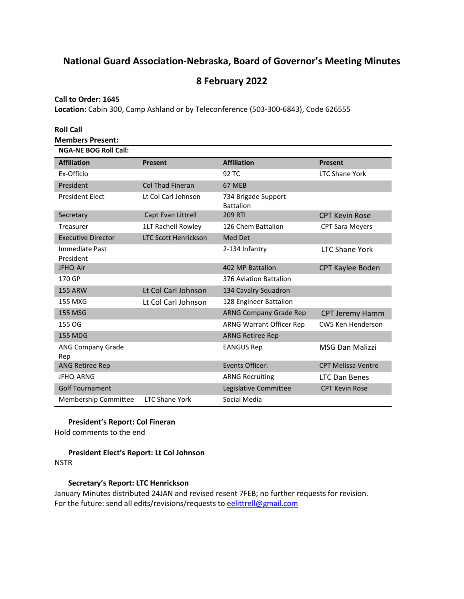# **National Guard Association-Nebraska, Board of Governor's Meeting Minutes**

## **8 February 2022**

## **Call to Order: 1645**

**Location:** Cabin 300, Camp Ashland or by Teleconference (503-300-6843), Code 626555

| <b>Roll Call</b>                |                             |                                         |                           |
|---------------------------------|-----------------------------|-----------------------------------------|---------------------------|
| <b>Members Present:</b>         |                             |                                         |                           |
| <b>NGA-NE BOG Roll Call:</b>    |                             |                                         |                           |
| <b>Affiliation</b>              | <b>Present</b>              | <b>Affiliation</b>                      | <b>Present</b>            |
| Ex-Officio                      |                             | 92 TC                                   | <b>LTC Shane York</b>     |
| President                       | <b>Col Thad Fineran</b>     | 67 MEB                                  |                           |
| <b>President Elect</b>          | Lt Col Carl Johnson         | 734 Brigade Support<br><b>Battalion</b> |                           |
| Secretary                       | Capt Evan Littrell          | <b>209 RTI</b>                          | <b>CPT Kevin Rose</b>     |
| Treasurer                       | 1LT Rachell Rowley          | 126 Chem Battalion                      | <b>CPT Sara Meyers</b>    |
| <b>Executive Director</b>       | <b>LTC Scott Henrickson</b> | Med Det                                 |                           |
| Immediate Past<br>President     |                             | 2-134 Infantry                          | <b>LTC Shane York</b>     |
| JFHQ-Air                        |                             | 402 MP Battalion                        | CPT Kaylee Boden          |
| 170 GP                          |                             | 376 Aviation Battalion                  |                           |
| <b>155 ARW</b>                  | Lt Col Carl Johnson         | 134 Cavalry Squadron                    |                           |
| 155 MXG                         | Lt Col Carl Johnson         | 128 Engineer Battalion                  |                           |
| <b>155 MSG</b>                  |                             | <b>ARNG Company Grade Rep</b>           | <b>CPT Jeremy Hamm</b>    |
| 155 OG                          |                             | ARNG Warrant Officer Rep                | <b>CW5 Ken Henderson</b>  |
| <b>155 MDG</b>                  |                             | <b>ARNG Retiree Rep</b>                 |                           |
| <b>ANG Company Grade</b><br>Rep |                             | <b>EANGUS Rep</b>                       | <b>MSG Dan Malizzi</b>    |
| <b>ANG Retiree Rep</b>          |                             | Events Officer:                         | <b>CPT Melissa Ventre</b> |
| JFHQ-ARNG                       |                             | <b>ARNG Recruiting</b>                  | <b>LTC Dan Benes</b>      |
| <b>Golf Tournament</b>          |                             | Legislative Committee                   | <b>CPT Kevin Rose</b>     |
| Membership Committee            | <b>LTC Shane York</b>       | Social Media                            |                           |

**President's Report: Col Fineran**

Hold comments to the end

**President Elect's Report: Lt Col Johnson NSTR** 

## **Secretary's Report: LTC Henrickson**

January Minutes distributed 24JAN and revised resent 7FEB; no further requests for revision. For the future: send all edits/revisions/requests t[o eelittrell@gmail.com](mailto:eelittrell@gmail.com)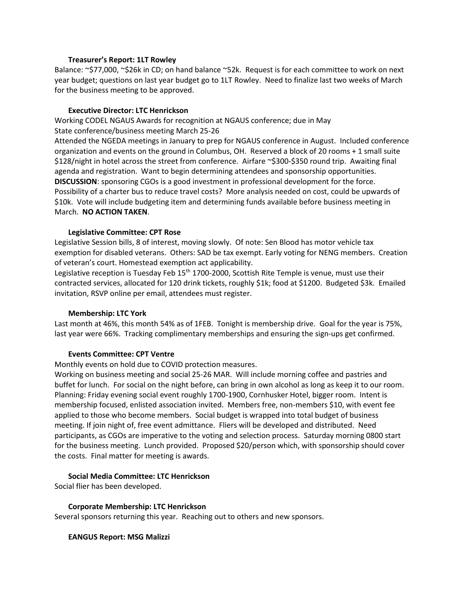#### **Treasurer's Report: 1LT Rowley**

Balance: ~\$77,000, ~\$26k in CD; on hand balance ~52k. Request is for each committee to work on next year budget; questions on last year budget go to 1LT Rowley. Need to finalize last two weeks of March for the business meeting to be approved.

#### **Executive Director: LTC Henrickson**

Working CODEL NGAUS Awards for recognition at NGAUS conference; due in May State conference/business meeting March 25-26

Attended the NGEDA meetings in January to prep for NGAUS conference in August. Included conference organization and events on the ground in Columbus, OH. Reserved a block of 20 rooms + 1 small suite \$128/night in hotel across the street from conference. Airfare ~\$300-\$350 round trip. Awaiting final agenda and registration. Want to begin determining attendees and sponsorship opportunities. **DISCUSSION**: sponsoring CGOs is a good investment in professional development for the force. Possibility of a charter bus to reduce travel costs? More analysis needed on cost, could be upwards of \$10k. Vote will include budgeting item and determining funds available before business meeting in March. **NO ACTION TAKEN**.

#### **Legislative Committee: CPT Rose**

Legislative Session bills, 8 of interest, moving slowly. Of note: Sen Blood has motor vehicle tax exemption for disabled veterans. Others: SAD be tax exempt. Early voting for NENG members. Creation of veteran's court. Homestead exemption act applicability.

Legislative reception is Tuesday Feb  $15<sup>th</sup>$  1700-2000, Scottish Rite Temple is venue, must use their contracted services, allocated for 120 drink tickets, roughly \$1k; food at \$1200. Budgeted \$3k. Emailed invitation, RSVP online per email, attendees must register.

#### **Membership: LTC York**

Last month at 46%, this month 54% as of 1FEB. Tonight is membership drive. Goal for the year is 75%, last year were 66%. Tracking complimentary memberships and ensuring the sign-ups get confirmed.

#### **Events Committee: CPT Ventre**

Monthly events on hold due to COVID protection measures.

Working on business meeting and social 25-26 MAR. Will include morning coffee and pastries and buffet for lunch. For social on the night before, can bring in own alcohol as long as keep it to our room. Planning: Friday evening social event roughly 1700-1900, Cornhusker Hotel, bigger room. Intent is membership focused, enlisted association invited. Members free, non-members \$10, with event fee applied to those who become members. Social budget is wrapped into total budget of business meeting. If join night of, free event admittance. Fliers will be developed and distributed. Need participants, as CGOs are imperative to the voting and selection process. Saturday morning 0800 start for the business meeting. Lunch provided. Proposed \$20/person which, with sponsorship should cover the costs. Final matter for meeting is awards.

#### **Social Media Committee: LTC Henrickson**

Social flier has been developed.

#### **Corporate Membership: LTC Henrickson**

Several sponsors returning this year. Reaching out to others and new sponsors.

#### **EANGUS Report: MSG Malizzi**